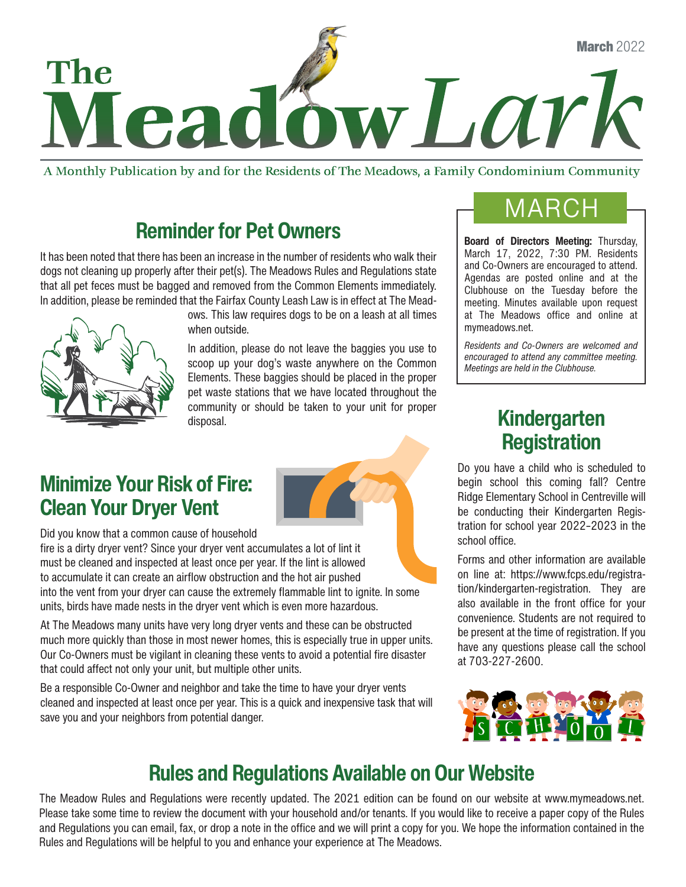

A Monthly Publication by and for the Residents of The Meadows, a Family Condominium Community

### Reminder for Pet Owners

It has been noted that there has been an increase in the number of residents who walk their dogs not cleaning up properly after their pet(s). The Meadows Rules and Regulations state that all pet feces must be bagged and removed from the Common Elements immediately. In addition, please be reminded that the Fairfax County Leash Law is in effect at The Mead-



ows. This law requires dogs to be on a leash at all times when outside.

In addition, please do not leave the baggies you use to scoop up your dog's waste anywhere on the Common Elements. These baggies should be placed in the proper pet waste stations that we have located throughout the community or should be taken to your unit for proper disposal.

### Minimize Your Risk of Fire: Clean Your Dryer Vent

Did you know that a common cause of household

fire is a dirty dryer vent? Since your dryer vent accumulates a lot of lint it must be cleaned and inspected at least once per year. If the lint is allowed to accumulate it can create an airflow obstruction and the hot air pushed into the vent from your dryer can cause the extremely flammable lint to ignite. In some units, birds have made nests in the dryer vent which is even more hazardous.

At The Meadows many units have very long dryer vents and these can be obstructed much more quickly than those in most newer homes, this is especially true in upper units. Our Co-Owners must be vigilant in cleaning these vents to avoid a potential fire disaster that could affect not only your unit, but multiple other units.

Be a responsible Co-Owner and neighbor and take the time to have your dryer vents cleaned and inspected at least once per year. This is a quick and inexpensive task that will save you and your neighbors from potential danger.

## **MARCH**

Board of Directors Meeting: Thursday, March 17, 2022, 7:30 PM. Residents and Co-Owners are encouraged to attend. Agendas are posted online and at the Clubhouse on the Tuesday before the meeting. Minutes available upon request at The Meadows office and online at mymeadows.net.

*Residents and Co-Owners are welcomed and encouraged to attend any committee meeting. Meetings are held in the Clubhouse.*

### Kindergarten **Registration**

Do you have a child who is scheduled to begin school this coming fall? Centre Ridge Elementary School in Centreville will be conducting their Kindergarten Registration for school year 2022–2023 in the school office.

Forms and other information are available on line at: https://www.fcps.edu/registration/kindergarten-registration. They are also available in the front office for your convenience. Students are not required to be present at the time of registration. If you have any questions please call the school at 703-227-2600.



### Rules and Regulations Available on Our Website

The Meadow Rules and Regulations were recently updated. The 2021 edition can be found on our website at www.mymeadows.net. Please take some time to review the document with your household and/or tenants. If you would like to receive a paper copy of the Rules and Regulations you can email, fax, or drop a note in the office and we will print a copy for you. We hope the information contained in the Rules and Regulations will be helpful to you and enhance your experience at The Meadows.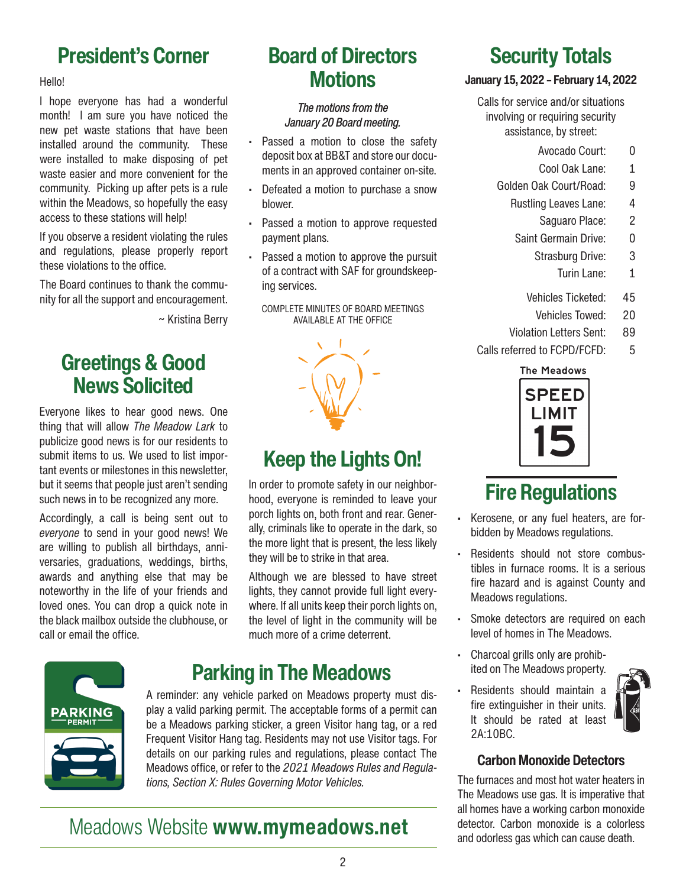### President's Corner

#### Hello!

I hope everyone has had a wonderful month! I am sure you have noticed the new pet waste stations that have been installed around the community. These were installed to make disposing of pet waste easier and more convenient for the community. Picking up after pets is a rule within the Meadows, so hopefully the easy access to these stations will help!

If you observe a resident violating the rules and regulations, please properly report these violations to the office.

The Board continues to thank the community for all the support and encouragement.

~ Kristina Berry

### Greetings & Good News Solicited

Everyone likes to hear good news. One thing that will allow *The Meadow Lark* to publicize good news is for our residents to submit items to us. We used to list important events or milestones in this newsletter, but it seems that people just aren't sending such news in to be recognized any more.

Accordingly, a call is being sent out to *everyone* to send in your good news! We are willing to publish all birthdays, anniversaries, graduations, weddings, births, awards and anything else that may be noteworthy in the life of your friends and loved ones. You can drop a quick note in the black mailbox outside the clubhouse, or call or email the office.

### Board of Directors **Motions**

#### *The motions from the January 20 Board meeting.*

- Passed a motion to close the safety deposit box at BB&T and store our documents in an approved container on-site.
- Defeated a motion to purchase a snow blower.
- Passed a motion to approve requested payment plans.
- Passed a motion to approve the pursuit of a contract with SAF for groundskeeping services.

COMPLETE MINUTES OF BOARD MEETINGS AVAILABLE AT THE OFFICE

### Keep the Lights On!

In order to promote safety in our neighborhood, everyone is reminded to leave your porch lights on, both front and rear. Generally, criminals like to operate in the dark, so the more light that is present, the less likely they will be to strike in that area.

Although we are blessed to have street lights, they cannot provide full light everywhere. If all units keep their porch lights on, the level of light in the community will be much more of a crime deterrent.



### Parking in The Meadows

A reminder: any vehicle parked on Meadows property must display a valid parking permit. The acceptable forms of a permit can be a Meadows parking sticker, a green Visitor hang tag, or a red Frequent Visitor Hang tag. Residents may not use Visitor tags. For details on our parking rules and regulations, please contact The Meadows office, or refer to the *2021 Meadows Rules and Regulations, Section X: Rules Governing Motor Vehicles.*

### Meadows Website www.mymeadows.net

### Security Totals

#### January 15, 2022 – February 14, 2022

Calls for service and/or situations involving or requiring security assistance, by street:

- Avocado Court: 0
- Cool Oak Lane: 1
- Golden Oak Court/Road: 9
	- Rustling Leaves Lane: 4
		- Saguaro Place: 2
	- Saint Germain Drive: 0
		- Strasburg Drive: 3
			- Turin Lane: 1
		- Vehicles Ticketed: 45
			- Vehicles Towed: 20
	- Violation Letters Sent: 89
- Calls referred to FCPD/FCFD: 5

#### **The Meadows**



## Fire Regulations

- Kerosene, or any fuel heaters, are forbidden by Meadows regulations.
- Residents should not store combustibles in furnace rooms. It is a serious fire hazard and is against County and Meadows regulations.
- Smoke detectors are required on each level of homes in The Meadows.
- Charcoal grills only are prohibited on The Meadows property.
- Residents should maintain a fire extinguisher in their units. It should be rated at least 2A:10BC.



#### Carbon Monoxide Detectors

The furnaces and most hot water heaters in The Meadows use gas. It is imperative that all homes have a working carbon monoxide detector. Carbon monoxide is a colorless and odorless gas which can cause death.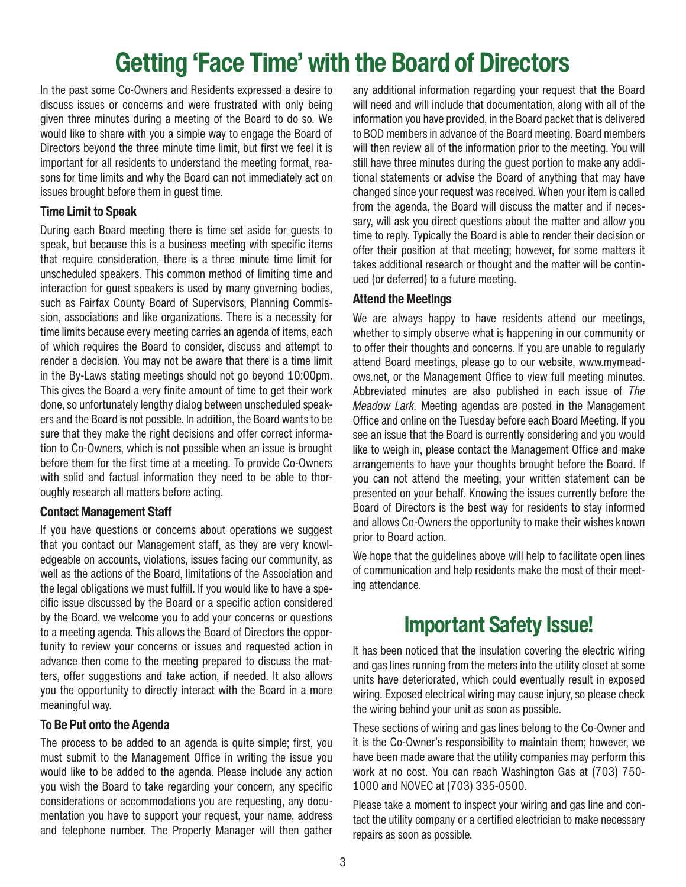# Getting 'Face Time' with the Board of Directors

In the past some Co-Owners and Residents expressed a desire to discuss issues or concerns and were frustrated with only being given three minutes during a meeting of the Board to do so. We would like to share with you a simple way to engage the Board of Directors beyond the three minute time limit, but first we feel it is important for all residents to understand the meeting format, reasons for time limits and why the Board can not immediately act on issues brought before them in guest time.

#### Time Limit to Speak

During each Board meeting there is time set aside for guests to speak, but because this is a business meeting with specific items that require consideration, there is a three minute time limit for unscheduled speakers. This common method of limiting time and interaction for guest speakers is used by many governing bodies, such as Fairfax County Board of Supervisors, Planning Commission, associations and like organizations. There is a necessity for time limits because every meeting carries an agenda of items, each of which requires the Board to consider, discuss and attempt to render a decision. You may not be aware that there is a time limit in the By-Laws stating meetings should not go beyond 10:00pm. This gives the Board a very finite amount of time to get their work done, so unfortunately lengthy dialog between unscheduled speakers and the Board is not possible. In addition, the Board wants to be sure that they make the right decisions and offer correct information to Co-Owners, which is not possible when an issue is brought before them for the first time at a meeting. To provide Co-Owners with solid and factual information they need to be able to thoroughly research all matters before acting.

#### Contact Management Staff

If you have questions or concerns about operations we suggest that you contact our Management staff, as they are very knowledgeable on accounts, violations, issues facing our community, as well as the actions of the Board, limitations of the Association and the legal obligations we must fulfill. If you would like to have a specific issue discussed by the Board or a specific action considered by the Board, we welcome you to add your concerns or questions to a meeting agenda. This allows the Board of Directors the opportunity to review your concerns or issues and requested action in advance then come to the meeting prepared to discuss the matters, offer suggestions and take action, if needed. It also allows you the opportunity to directly interact with the Board in a more meaningful way.

#### To Be Put onto the Agenda

The process to be added to an agenda is quite simple; first, you must submit to the Management Office in writing the issue you would like to be added to the agenda. Please include any action you wish the Board to take regarding your concern, any specific considerations or accommodations you are requesting, any documentation you have to support your request, your name, address and telephone number. The Property Manager will then gather any additional information regarding your request that the Board will need and will include that documentation, along with all of the information you have provided, in the Board packet that is delivered to BOD members in advance of the Board meeting. Board members will then review all of the information prior to the meeting. You will still have three minutes during the guest portion to make any additional statements or advise the Board of anything that may have changed since your request was received. When your item is called from the agenda, the Board will discuss the matter and if necessary, will ask you direct questions about the matter and allow you time to reply. Typically the Board is able to render their decision or offer their position at that meeting; however, for some matters it takes additional research or thought and the matter will be continued (or deferred) to a future meeting.

#### Attend the Meetings

We are always happy to have residents attend our meetings, whether to simply observe what is happening in our community or to offer their thoughts and concerns. If you are unable to regularly attend Board meetings, please go to our website, www.mymeadows.net, or the Management Office to view full meeting minutes. Abbreviated minutes are also published in each issue of *The Meadow Lark.* Meeting agendas are posted in the Management Office and online on the Tuesday before each Board Meeting. If you see an issue that the Board is currently considering and you would like to weigh in, please contact the Management Office and make arrangements to have your thoughts brought before the Board. If you can not attend the meeting, your written statement can be presented on your behalf. Knowing the issues currently before the Board of Directors is the best way for residents to stay informed and allows Co-Owners the opportunity to make their wishes known prior to Board action.

We hope that the quidelines above will help to facilitate open lines of communication and help residents make the most of their meeting attendance.

### Important Safety Issue!

It has been noticed that the insulation covering the electric wiring and gas lines running from the meters into the utility closet at some units have deteriorated, which could eventually result in exposed wiring. Exposed electrical wiring may cause injury, so please check the wiring behind your unit as soon as possible.

These sections of wiring and gas lines belong to the Co-Owner and it is the Co-Owner's responsibility to maintain them; however, we have been made aware that the utility companies may perform this work at no cost. You can reach Washington Gas at (703) 750- 1000 and NOVEC at (703) 335-0500.

Please take a moment to inspect your wiring and gas line and contact the utility company or a certified electrician to make necessary repairs as soon as possible.